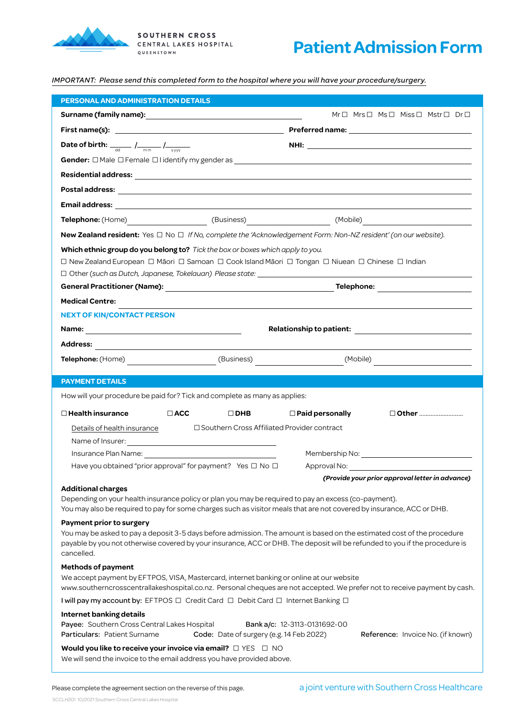

## **Patient Admission Form**

*IMPORTANT: Please send this completed form to the hospital where you will have your procedure/surgery.*

| <b>PERSONAL AND ADMINISTRATION DETAILS</b>                                                                                                                                                                                    |                                                 |
|-------------------------------------------------------------------------------------------------------------------------------------------------------------------------------------------------------------------------------|-------------------------------------------------|
|                                                                                                                                                                                                                               | Mr□ Mrs□ Ms□ Miss□ Mstr□ Dr□                    |
| First name(s): example and the state of the state of the state of the state of the state of the state of the state of the state of the state of the state of the state of the state of the state of the state of the state of |                                                 |
| Date of birth: $\frac{1}{\text{dd}}$ / $\frac{1}{\text{mm}}$ / $\frac{1}{\text{ww}}$                                                                                                                                          |                                                 |
|                                                                                                                                                                                                                               |                                                 |
|                                                                                                                                                                                                                               |                                                 |
|                                                                                                                                                                                                                               |                                                 |
|                                                                                                                                                                                                                               |                                                 |
|                                                                                                                                                                                                                               |                                                 |
| New Zealand resident: Yes □ No □ If No, complete the 'Acknowledgement Form: Non-NZ resident' (on our website).                                                                                                                |                                                 |
| Which ethnic group do you belong to? Tick the box or boxes which apply to you.                                                                                                                                                |                                                 |
| □ New Zealand European □ Māori □ Samoan □ Cook Island Māori □ Tongan □ Niuean □ Chinese □ Indian                                                                                                                              |                                                 |
|                                                                                                                                                                                                                               |                                                 |
|                                                                                                                                                                                                                               |                                                 |
| <b>Medical Centre:</b>                                                                                                                                                                                                        |                                                 |
| <b>NEXT OF KIN/CONTACT PERSON</b>                                                                                                                                                                                             |                                                 |
|                                                                                                                                                                                                                               |                                                 |
|                                                                                                                                                                                                                               |                                                 |
|                                                                                                                                                                                                                               |                                                 |
| <b>PAYMENT DETAILS</b>                                                                                                                                                                                                        |                                                 |
|                                                                                                                                                                                                                               |                                                 |
| How will your procedure be paid for? Tick and complete as many as applies:                                                                                                                                                    |                                                 |
| $\Box$ ACC                                                                                                                                                                                                                    |                                                 |
| $\Box$ Health insurance<br>$\Box$ DHB                                                                                                                                                                                         | $\Box$ Paid personally                          |
| □ Southern Cross Affiliated Provider contract<br>Details of health insurance                                                                                                                                                  |                                                 |
|                                                                                                                                                                                                                               |                                                 |
| Have you obtained "prior approval" for payment? Yes □ No □                                                                                                                                                                    |                                                 |
|                                                                                                                                                                                                                               | (Provide your prior approval letter in advance) |
| <b>Additional charges</b>                                                                                                                                                                                                     |                                                 |
| Depending on your health insurance policy or plan you may be required to pay an excess (co-payment).<br>You may also be required to pay for some charges such as visitor meals that are not covered by insurance, ACC or DHB. |                                                 |
| Payment prior to surgery                                                                                                                                                                                                      |                                                 |
| You may be asked to pay a deposit 3-5 days before admission. The amount is based on the estimated cost of the procedure                                                                                                       |                                                 |
| payable by you not otherwise covered by your insurance, ACC or DHB. The deposit will be refunded to you if the procedure is<br>cancelled.                                                                                     |                                                 |
| <b>Methods of payment</b>                                                                                                                                                                                                     |                                                 |
| We accept payment by EFTPOS, VISA, Mastercard, internet banking or online at our website                                                                                                                                      |                                                 |
| www.southerncrosscentrallakeshospital.co.nz. Personal cheques are not accepted. We prefer not to receive payment by cash.                                                                                                     |                                                 |
| I will pay my account by: EFTPOS □ Credit Card □ Debit Card □ Internet Banking □                                                                                                                                              |                                                 |
| Internet banking details<br>Payee: Southern Cross Central Lakes Hospital                                                                                                                                                      | Bank a/c: 12-3113-0131692-00                    |
| Particulars: Patient Surname<br>Code: Date of surgery (e.g. 14 Feb 2022)                                                                                                                                                      | Reference: Invoice No. (if known)               |
| Would you like to receive your invoice via email? $\Box$ YES $\Box$ NO<br>We will send the invoice to the email address you have provided above.                                                                              |                                                 |